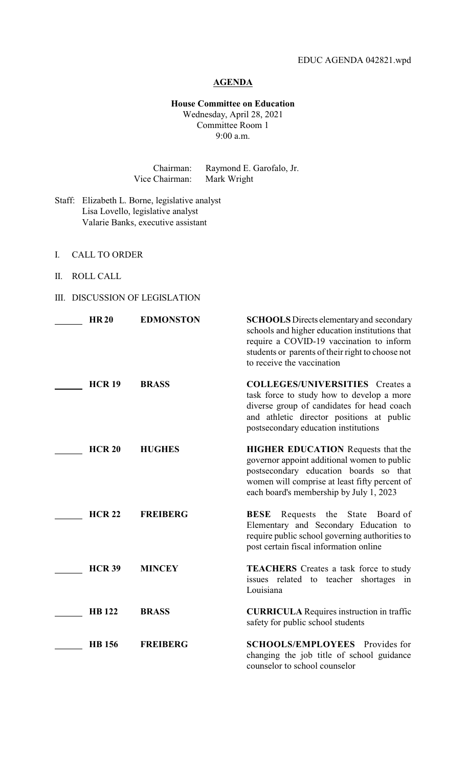## **AGENDA**

#### **House Committee on Education** Wednesday, April 28, 2021 Committee Room 1 9:00 a.m.

Chairman: Raymond E. Garofalo, Jr. Vice Chairman: Mark Wright

- Staff: Elizabeth L. Borne, legislative analyst Lisa Lovello, legislative analyst Valarie Banks, executive assistant
- I. CALL TO ORDER
- II. ROLL CALL

## III. DISCUSSION OF LEGISLATION

| <b>HR20</b>   | <b>EDMONSTON</b> | <b>SCHOOLS</b> Directs elementary and secondary<br>schools and higher education institutions that<br>require a COVID-19 vaccination to inform<br>students or parents of their right to choose not<br>to receive the vaccination |
|---------------|------------------|---------------------------------------------------------------------------------------------------------------------------------------------------------------------------------------------------------------------------------|
| <b>HCR 19</b> | <b>BRASS</b>     | <b>COLLEGES/UNIVERSITIES</b> Creates a<br>task force to study how to develop a more<br>diverse group of candidates for head coach<br>and athletic director positions at public<br>postsecondary education institutions          |
| <b>HCR 20</b> | <b>HUGHES</b>    | <b>HIGHER EDUCATION</b> Requests that the<br>governor appoint additional women to public<br>postsecondary education boards so that<br>women will comprise at least fifty percent of<br>each board's membership by July 1, 2023  |
| <b>HCR 22</b> | <b>FREIBERG</b>  | State<br><b>BESE</b><br>Requests<br>the<br>Board of<br>Elementary and Secondary Education to<br>require public school governing authorities to<br>post certain fiscal information online                                        |
| <b>HCR 39</b> | <b>MINCEY</b>    | <b>TEACHERS</b> Creates a task force to study<br>issues related to teacher<br>shortages<br>in<br>Louisiana                                                                                                                      |
| <b>HB</b> 122 | <b>BRASS</b>     | <b>CURRICULA</b> Requires instruction in traffic<br>safety for public school students                                                                                                                                           |
| <b>HB</b> 156 | <b>FREIBERG</b>  | <b>SCHOOLS/EMPLOYEES</b> Provides for<br>changing the job title of school guidance<br>counselor to school counselor                                                                                                             |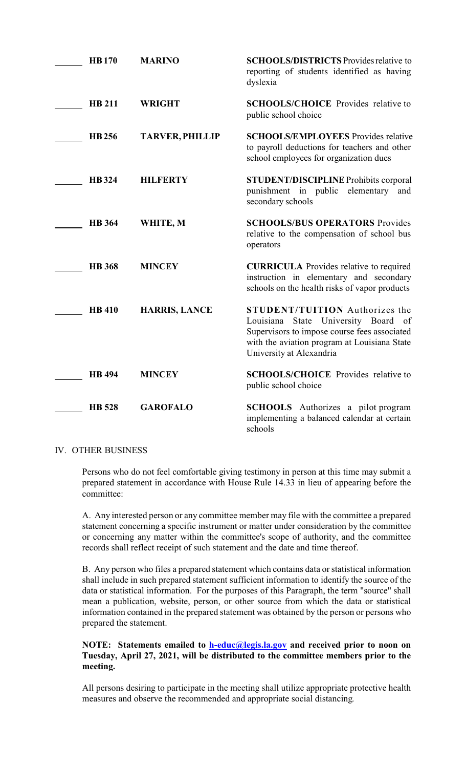| <b>HB170</b>  | <b>MARINO</b>          | <b>SCHOOLS/DISTRICTS</b> Provides relative to<br>reporting of students identified as having<br>dyslexia                                                                                                     |
|---------------|------------------------|-------------------------------------------------------------------------------------------------------------------------------------------------------------------------------------------------------------|
| <b>HB 211</b> | <b>WRIGHT</b>          | <b>SCHOOLS/CHOICE</b> Provides relative to<br>public school choice                                                                                                                                          |
| <b>HB</b> 256 | <b>TARVER, PHILLIP</b> | <b>SCHOOLS/EMPLOYEES</b> Provides relative<br>to payroll deductions for teachers and other<br>school employees for organization dues                                                                        |
| <b>HB</b> 324 | <b>HILFERTY</b>        | <b>STUDENT/DISCIPLINE Prohibits corporal</b><br>punishment in public<br>elementary<br>and<br>secondary schools                                                                                              |
| <b>HB</b> 364 | WHITE, M               | <b>SCHOOLS/BUS OPERATORS Provides</b><br>relative to the compensation of school bus<br>operators                                                                                                            |
| <b>HB</b> 368 | <b>MINCEY</b>          | <b>CURRICULA</b> Provides relative to required<br>instruction in elementary and secondary<br>schools on the health risks of vapor products                                                                  |
| <b>HB</b> 410 | <b>HARRIS, LANCE</b>   | <b>STUDENT/TUITION</b> Authorizes the<br>State University Board of<br>Louisiana<br>Supervisors to impose course fees associated<br>with the aviation program at Louisiana State<br>University at Alexandria |
| <b>HB</b> 494 | <b>MINCEY</b>          | <b>SCHOOLS/CHOICE</b> Provides relative to<br>public school choice                                                                                                                                          |
| <b>HB</b> 528 | <b>GAROFALO</b>        | <b>SCHOOLS</b> Authorizes a pilot program<br>implementing a balanced calendar at certain<br>schools                                                                                                         |

### IV. OTHER BUSINESS

Persons who do not feel comfortable giving testimony in person at this time may submit a prepared statement in accordance with House Rule 14.33 in lieu of appearing before the committee:

A. Any interested person or any committee member may file with the committee a prepared statement concerning a specific instrument or matter under consideration by the committee or concerning any matter within the committee's scope of authority, and the committee records shall reflect receipt of such statement and the date and time thereof.

B. Any person who files a prepared statement which contains data or statistical information shall include in such prepared statement sufficient information to identify the source of the data or statistical information. For the purposes of this Paragraph, the term "source" shall mean a publication, website, person, or other source from which the data or statistical information contained in the prepared statement was obtained by the person or persons who prepared the statement.

## **NOTE: Statements emailed to [h-educ@legis.la.gov](mailto:h-educ@legis.la.gov) and received prior to noon on Tuesday, April 27, 2021, will be distributed to the committee members prior to the meeting.**

All persons desiring to participate in the meeting shall utilize appropriate protective health measures and observe the recommended and appropriate social distancing.